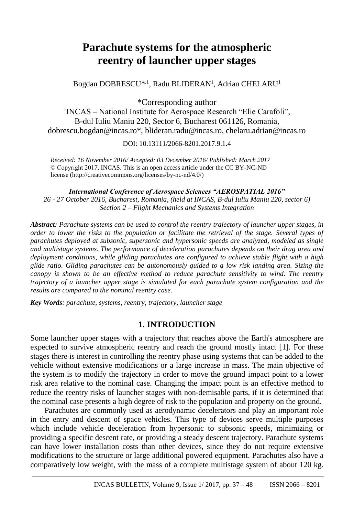# **Parachute systems for the atmospheric reentry of launcher upper stages**

Bogdan DOBRESCU<sup>\*, 1</sup>, Radu BLIDERAN<sup>1</sup>, Adrian CHELARU<sup>1</sup>

\*Corresponding author

<sup>1</sup> INCAS – National Institute for Aerospace Research "Elie Carafoli", B-dul Iuliu Maniu 220, Sector 6, Bucharest 061126, Romania, dobrescu.bogdan@incas.ro\*, blideran.radu@incas.ro, chelaru.adrian@incas.ro

DOI: 10.13111/2066-8201.2017.9.1.4

*Received: 16 November 2016/ Accepted: 03 December 2016/ Published: March 2017* © Copyright 2017, INCAS. This is an open access article under the CC BY-NC-ND license (http://creativecommons.org/licenses/by-nc-nd/4.0/)

*International Conference of Aerospace Sciences "AEROSPATIAL 2016" 26 - 27 October 2016, Bucharest, Romania, (held at INCAS, B-dul Iuliu Maniu 220, sector 6) Section 2 – Flight Mechanics and Systems Integration*

*Abstract: Parachute systems can be used to control the reentry trajectory of launcher upper stages, in order to lower the risks to the population or facilitate the retrieval of the stage. Several types of parachutes deployed at subsonic, supersonic and hypersonic speeds are analyzed, modeled as single and multistage systems. The performance of deceleration parachutes depends on their drag area and deployment conditions, while gliding parachutes are configured to achieve stable flight with a high glide ratio. Gliding parachutes can be autonomously guided to a low risk landing area. Sizing the canopy is shown to be an effective method to reduce parachute sensitivity to wind. The reentry trajectory of a launcher upper stage is simulated for each parachute system configuration and the results are compared to the nominal reentry case.*

*Key Words: parachute, systems, reentry, trajectory, launcher stage*

## **1. INTRODUCTION**

Some launcher upper stages with a trajectory that reaches above the Earth's atmosphere are expected to survive atmospheric reentry and reach the ground mostly intact [1]. For these stages there is interest in controlling the reentry phase using systems that can be added to the vehicle without extensive modifications or a large increase in mass. The main objective of the system is to modify the trajectory in order to move the ground impact point to a lower risk area relative to the nominal case. Changing the impact point is an effective method to reduce the reentry risks of launcher stages with non-demisable parts, if it is determined that the nominal case presents a high degree of risk to the population and property on the ground.

Parachutes are commonly used as aerodynamic decelerators and play an important role in the entry and descent of space vehicles. This type of devices serve multiple purposes which include vehicle deceleration from hypersonic to subsonic speeds, minimizing or providing a specific descent rate, or providing a steady descent trajectory. Parachute systems can have lower installation costs than other devices, since they do not require extensive modifications to the structure or large additional powered equipment. Parachutes also have a comparatively low weight, with the mass of a complete multistage system of about 120 kg.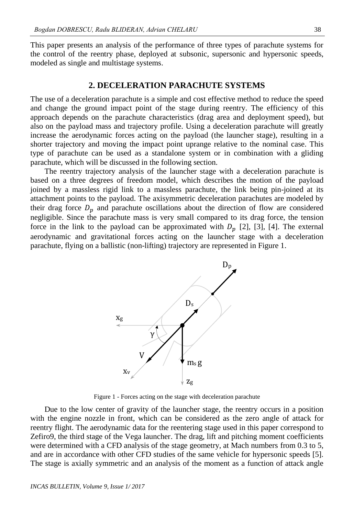This paper presents an analysis of the performance of three types of parachute systems for the control of the reentry phase, deployed at subsonic, supersonic and hypersonic speeds, modeled as single and multistage systems.

## **2. DECELERATION PARACHUTE SYSTEMS**

The use of a deceleration parachute is a simple and cost effective method to reduce the speed and change the ground impact point of the stage during reentry. The efficiency of this approach depends on the parachute characteristics (drag area and deployment speed), but also on the payload mass and trajectory profile. Using a deceleration parachute will greatly increase the aerodynamic forces acting on the payload (the launcher stage), resulting in a shorter trajectory and moving the impact point uprange relative to the nominal case. This type of parachute can be used as a standalone system or in combination with a gliding parachute, which will be discussed in the following section.

The reentry trajectory analysis of the launcher stage with a deceleration parachute is based on a three degrees of freedom model, which describes the motion of the payload joined by a massless rigid link to a massless parachute, the link being pin-joined at its attachment points to the payload. The axisymmetric deceleration parachutes are modeled by their drag force  $D_p$  and parachute oscillations about the direction of flow are considered negligible. Since the parachute mass is very small compared to its drag force, the tension force in the link to the payload can be approximated with  $D_p$  [2], [3], [4]. The external aerodynamic and gravitational forces acting on the launcher stage with a deceleration parachute, flying on a ballistic (non-lifting) trajectory are represented in Figure 1.



Figure 1 - Forces acting on the stage with deceleration parachute

Due to the low center of gravity of the launcher stage, the reentry occurs in a position with the engine nozzle in front, which can be considered as the zero angle of attack for reentry flight. The aerodynamic data for the reentering stage used in this paper correspond to Zefiro9, the third stage of the Vega launcher. The drag, lift and pitching moment coefficients were determined with a CFD analysis of the stage geometry, at Mach numbers from 0.3 to 5, and are in accordance with other CFD studies of the same vehicle for hypersonic speeds [5]. The stage is axially symmetric and an analysis of the moment as a function of attack angle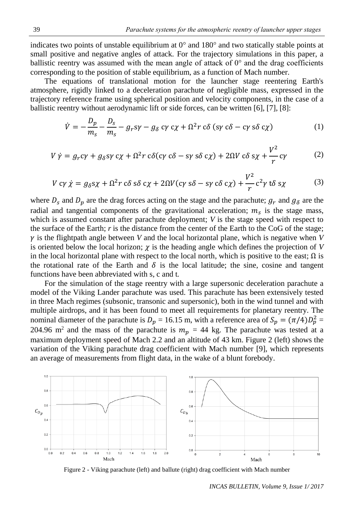indicates two points of unstable equilibrium at  $0^{\circ}$  and  $180^{\circ}$  and two statically stable points at small positive and negative angles of attack. For the trajectory simulations in this paper, a ballistic reentry was assumed with the mean angle of attack of  $0^{\circ}$  and the drag coefficients corresponding to the position of stable equilibrium, as a function of Mach number.

The equations of translational motion for the launcher stage reentering Earth's atmosphere, rigidly linked to a deceleration parachute of negligible mass, expressed in the trajectory reference frame using spherical position and velocity components, in the case of a ballistic reentry without aerodynamic lift or side forces, can be written [6], [7], [8]:

$$
\dot{V} = -\frac{D_p}{m_s} - \frac{D_s}{m_s} - g_r s \gamma - g_\delta c \gamma c \chi + \Omega^2 r c \delta (s \gamma c \delta - c \gamma s \delta c \chi)
$$
 (1)

$$
V \dot{\gamma} = g_r c \gamma + g_\delta s \gamma c \chi + \Omega^2 r c \delta(c \gamma c \delta - s \gamma s \delta c \chi) + 2\Omega V c \delta s \chi + \frac{V^2}{r} c \gamma
$$
 (2)

$$
V \, c\gamma \, \dot{\chi} = g_{\delta} s\chi + \Omega^2 r \, c\delta \, s\delta \, c\chi + 2\Omega V (c\gamma \, s\delta - s\gamma \, c\delta \, c\chi) + \frac{V^2}{r} c^2 \gamma \, t\delta \, s\chi \tag{3}
$$

where  $D_s$  and  $D_p$  are the drag forces acting on the stage and the parachute;  $g_r$  and  $g_\delta$  are the radial and tangential components of the gravitational acceleration;  $m<sub>s</sub>$  is the stage mass, which is assumed constant after parachute deployment; *V* is the stage speed with respect to the surface of the Earth; *r* is the distance from the center of the Earth to the CoG of the stage;  $\gamma$  is the flightpath angle between *V* and the local horizontal plane, which is negative when *V* is oriented below the local horizon;  $\chi$  is the heading angle which defines the projection of *V* in the local horizontal plane with respect to the local north, which is positive to the east;  $\Omega$  is the rotational rate of the Earth and  $\delta$  is the local latitude; the sine, cosine and tangent functions have been abbreviated with s, c and t*.*

For the simulation of the stage reentry with a large supersonic deceleration parachute a model of the Viking Lander parachute was used. This parachute has been extensively tested in three Mach regimes (subsonic, transonic and supersonic), both in the wind tunnel and with multiple airdrops, and it has been found to meet all requirements for planetary reentry. The nominal diameter of the parachute is  $D_p = 16.15$  m, with a reference area of  $S_p = (\pi/4)D_p^2 =$ 204.96 m<sup>2</sup> and the mass of the parachute is  $m_p = 44$  kg. The parachute was tested at a maximum deployment speed of Mach 2.2 and an altitude of 43 km. Figure 2 (left) shows the variation of the Viking parachute drag coefficient with Mach number [9], which represents an average of measurements from flight data, in the wake of a blunt forebody.



Figure 2 - Viking parachute (left) and ballute (right) drag coefficient with Mach number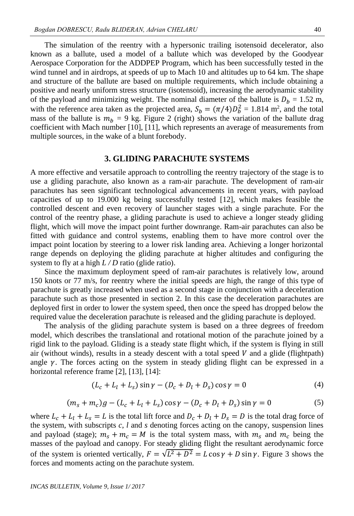The simulation of the reentry with a hypersonic trailing isotensoid decelerator, also known as a ballute, used a model of a ballute which was developed by the Goodyear Aerospace Corporation for the ADDPEP Program, which has been successfully tested in the wind tunnel and in airdrops, at speeds of up to Mach 10 and altitudes up to 64 km. The shape and structure of the ballute are based on multiple requirements, which include obtaining a positive and nearly uniform stress structure (isotensoid), increasing the aerodynamic stability of the payload and minimizing weight. The nominal diameter of the ballute is  $D_b = 1.52$  m, with the reference area taken as the projected area,  $S_b = (\pi/4)D_b^2 = 1.814 \text{ m}^2$ , and the total mass of the ballute is  $m_h = 9$  kg. Figure 2 (right) shows the variation of the ballute drag coefficient with Mach number [10], [11], which represents an average of measurements from multiple sources, in the wake of a blunt forebody.

#### **3. GLIDING PARACHUTE SYSTEMS**

A more effective and versatile approach to controlling the reentry trajectory of the stage is to use a gliding parachute, also known as a ram-air parachute. The development of ram-air parachutes has seen significant technological advancements in recent years, with payload capacities of up to 19.000 kg being successfully tested [12], which makes feasible the controlled descent and even recovery of launcher stages with a single parachute. For the control of the reentry phase, a gliding parachute is used to achieve a longer steady gliding flight, which will move the impact point further downrange. Ram-air parachutes can also be fitted with guidance and control systems, enabling them to have more control over the impact point location by steering to a lower risk landing area. Achieving a longer horizontal range depends on deploying the gliding parachute at higher altitudes and configuring the system to fly at a high *L / D* ratio (glide ratio).

Since the maximum deployment speed of ram-air parachutes is relatively low, around 150 knots or 77 m/s, for reentry where the initial speeds are high, the range of this type of parachute is greatly increased when used as a second stage in conjunction with a deceleration parachute such as those presented in section 2. In this case the deceleration parachutes are deployed first in order to lower the system speed, then once the speed has dropped below the required value the deceleration parachute is released and the gliding parachute is deployed.

The analysis of the gliding parachute system is based on a three degrees of freedom model, which describes the translational and rotational motion of the parachute joined by a rigid link to the payload. Gliding is a steady state flight which, if the system is flying in still air (without winds), results in a steady descent with a total speed  $V$  and a glide (flightpath) angle  $\gamma$ . The forces acting on the system in steady gliding flight can be expressed in a horizontal reference frame [2], [13], [14]:

$$
(L_c + L_l + L_s) \sin \gamma - (D_c + D_l + D_s) \cos \gamma = 0 \tag{4}
$$

$$
(m_s + m_c)g - (L_c + L_l + L_s)\cos\gamma - (D_c + D_l + D_s)\sin\gamma = 0
$$
\n(5)

where  $L_c + L_l + L_s = L$  is the total lift force and  $D_c + D_l + D_s = D$  is the total drag force of the system, with subscripts  $c, l$  and  $s$  denoting forces acting on the canopy, suspension lines and payload (stage);  $m_s + m_c = M$  is the total system mass, with  $m_s$  and  $m_c$  being the masses of the payload and canopy. For steady gliding flight the resultant aerodynamic force of the system is oriented vertically,  $F = \sqrt{L^2 + D^2} = L \cos \gamma + D \sin \gamma$ . Figure 3 shows the forces and moments acting on the parachute system.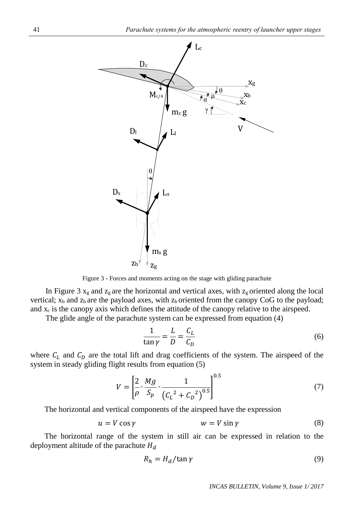

Figure 3 - Forces and moments acting on the stage with gliding parachute

In Figure 3  $x_g$  and  $z_g$  are the horizontal and vertical axes, with  $z_g$  oriented along the local vertical;  $x<sub>b</sub>$  and  $z<sub>b</sub>$  are the payload axes, with  $z<sub>b</sub>$  oriented from the canopy CoG to the payload; and  $x_c$  is the canopy axis which defines the attitude of the canopy relative to the airspeed.

The glide angle of the parachute system can be expressed from equation (4)

$$
\frac{1}{\tan \gamma} = \frac{L}{D} = \frac{C_L}{C_D} \tag{6}
$$

where  $C_L$  and  $C_D$  are the total lift and drag coefficients of the system. The airspeed of the system in steady gliding flight results from equation (5)

$$
V = \left[\frac{2}{\rho} \cdot \frac{Mg}{S_p} \cdot \frac{1}{(C_L^2 + C_D^2)^{0.5}}\right]^{0.5}
$$
 (7)

The horizontal and vertical components of the airspeed have the expression

$$
u = V \cos \gamma \qquad \qquad w = V \sin \gamma \tag{8}
$$

The horizontal range of the system in still air can be expressed in relation to the deployment altitude of the parachute  $H_d$ 

$$
R_h = H_d / \tan \gamma \tag{9}
$$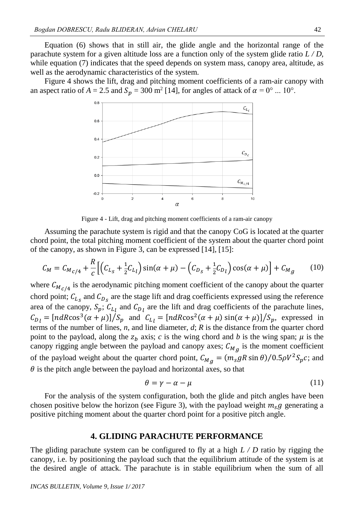Equation (6) shows that in still air, the glide angle and the horizontal range of the parachute system for a given altitude loss are a function only of the system glide ratio *L / D,* while equation (7) indicates that the speed depends on system mass, canopy area, altitude, as well as the aerodynamic characteristics of the system.

Figure 4 shows the lift, drag and pitching moment coefficients of a ram-air canopy with an aspect ratio of  $A = 2.5$  and  $S_p = 300$  m<sup>2</sup> [14], for angles of attack of  $\alpha = 0^{\circ}$  ... 10°.



Figure 4 - Lift, drag and pitching moment coefficients of a ram-air canopy

Assuming the parachute system is rigid and that the canopy CoG is located at the quarter chord point, the total pitching moment coefficient of the system about the quarter chord point of the canopy, as shown in Figure 3, can be expressed [14], [15]:

$$
C_M = C_{M_C/4} + \frac{R}{c} \left[ \left( C_{L_S} + \frac{1}{2} C_{L_l} \right) \sin(\alpha + \mu) - \left( C_{D_S} + \frac{1}{2} C_{D_l} \right) \cos(\alpha + \mu) \right] + C_{M_g} \tag{10}
$$

where  $C_{M_C/4}$  is the aerodynamic pitching moment coefficient of the canopy about the quarter chord point;  $C_{L_s}$  and  $C_{D_s}$  are the stage lift and drag coefficients expressed using the reference area of the canopy,  $S_p$ ;  $C_{L_l}$  and  $C_{D_l}$  are the lift and drag coefficients of the parachute lines,  $C_{D_l} = \frac{[ndR\cos^3(\alpha + \mu)]}{S_p}$  and  $C_{L_l} = \frac{[ndR\cos^2(\alpha + \mu)\sin(\alpha + \mu)]}{S_p}$ , expressed in terms of the number of lines, *n*, and line diameter, *d*; *R* is the distance from the quarter chord point to the payload, along the  $z_b$  axis; *c* is the wing chord and *b* is the wing span;  $\mu$  is the canopy rigging angle between the payload and canopy axes;  $C_{M_g}$  is the moment coefficient of the payload weight about the quarter chord point,  $C_{M_g} = (m_s g R \sin \theta) / (0.5 \rho V^2 S_p c;$  and  $\theta$  is the pitch angle between the payload and horizontal axes, so that

$$
\theta = \gamma - \alpha - \mu \tag{11}
$$

For the analysis of the system configuration, both the glide and pitch angles have been chosen positive below the horizon (see Figure 3), with the payload weight  $m_{\rm s}g$  generating a positive pitching moment about the quarter chord point for a positive pitch angle.

#### **4. GLIDING PARACHUTE PERFORMANCE**

The gliding parachute system can be configured to fly at a high *L / D* ratio by rigging the canopy, i.e. by positioning the payload such that the equilibrium attitude of the system is at the desired angle of attack. The parachute is in stable equilibrium when the sum of all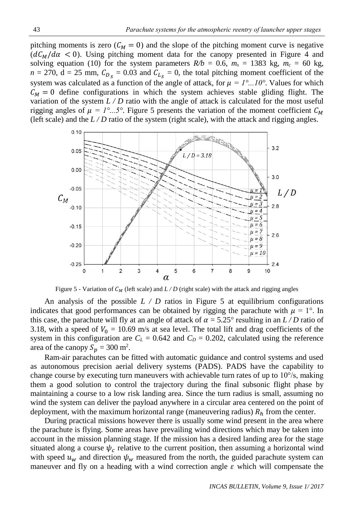pitching moments is zero ( $C_M = 0$ ) and the slope of the pitching moment curve is negative  $(dC_M/d\alpha < 0)$ . Using pitching moment data for the canopy presented in Figure 4 and solving equation (10) for the system parameters  $R/b = 0.6$ ,  $m_s = 1383$  kg,  $m_c = 60$  kg,  $n = 270$ ,  $d = 25$  mm,  $C_{D_s} = 0.03$  and  $C_{L_s} = 0$ , the total pitching moment coefficient of the system was calculated as a function of the angle of attack, for  $\mu = I^{\circ}...I0^{\circ}$ . Values for which  $C_M = 0$  define configurations in which the system achieves stable gliding flight. The variation of the system  $L/D$  ratio with the angle of attack is calculated for the most useful rigging angles of  $\mu = 1^{\circ}...5^{\circ}$ . Figure 5 presents the variation of the moment coefficient  $C_M$ (left scale) and the  $L/D$  ratio of the system (right scale), with the attack and rigging angles.



Figure 5 - Variation of  $C_M$  (left scale) and  $L/D$  (right scale) with the attack and rigging angles

An analysis of the possible  $L / D$  ratios in Figure 5 at equilibrium configurations indicates that good performances can be obtained by rigging the parachute with  $\mu = 1^{\circ}$ . In this case, the parachute will fly at an angle of attack of  $\alpha = 5.25^{\circ}$  resulting in an *L* / *D* ratio of 3.18, with a speed of  $V_0 = 10.69$  m/s at sea level. The total lift and drag coefficients of the system in this configuration are  $C_L = 0.642$  and  $C_D = 0.202$ , calculated using the reference area of the canopy  $S_p = 300$  m<sup>2</sup>.

Ram-air parachutes can be fitted with automatic guidance and control systems and used as autonomous precision aerial delivery systems (PADS). PADS have the capability to change course by executing turn maneuvers with achievable turn rates of up to 10°/s, making them a good solution to control the trajectory during the final subsonic flight phase by maintaining a course to a low risk landing area. Since the turn radius is small, assuming no wind the system can deliver the payload anywhere in a circular area centered on the point of deployment, with the maximum horizontal range (maneuvering radius)  $R<sub>h</sub>$  from the center.

During practical missions however there is usually some wind present in the area where the parachute is flying. Some areas have prevailing wind directions which may be taken into account in the mission planning stage. If the mission has a desired landing area for the stage situated along a course  $\psi_c$  relative to the current position, then assuming a horizontal wind with speed  $u_w$  and direction  $\psi_w$  measured from the north, the guided parachute system can maneuver and fly on a heading with a wind correction angle  $\varepsilon$  which will compensate the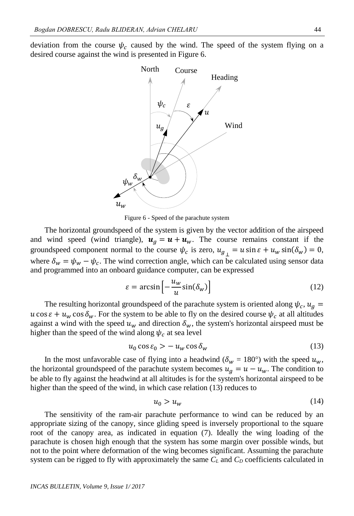deviation from the course  $\psi_c$  caused by the wind. The speed of the system flying on a desired course against the wind is presented in Figure 6.



Figure 6 - Speed of the parachute system

The horizontal groundspeed of the system is given by the vector addition of the airspeed and wind speed (wind triangle),  $u_g = u + u_w$ . The course remains constant if the groundspeed component normal to the course  $\psi_c$  is zero,  $u_{g\perp} = u \sin \varepsilon + u_w \sin(\delta_w) = 0$ , where  $\delta_w = \psi_w - \psi_c$ . The wind correction angle, which can be calculated using sensor data and programmed into an onboard guidance computer, can be expressed

$$
\varepsilon = \arcsin\left[-\frac{u_w}{u}\sin(\delta_w)\right] \tag{12}
$$

The resulting horizontal groundspeed of the parachute system is oriented along  $\psi_c$ ,  $u_g =$  $u \cos \varepsilon + u_w \cos \delta_w$ . For the system to be able to fly on the desired course  $\psi_c$  at all altitudes against a wind with the speed  $u_w$  and direction  $\delta_w$ , the system's horizontal airspeed must be higher than the speed of the wind along  $\psi_c$  at sea level

$$
u_0 \cos \varepsilon_0 > -u_w \cos \delta_w \tag{13}
$$

In the most unfavorable case of flying into a headwind ( $\delta_w = 180^\circ$ ) with the speed  $u_w$ , the horizontal groundspeed of the parachute system becomes  $u_g = u - u_w$ . The condition to be able to fly against the headwind at all altitudes is for the system's horizontal airspeed to be higher than the speed of the wind, in which case relation (13) reduces to

$$
u_0 > u_w \tag{14}
$$

The sensitivity of the ram-air parachute performance to wind can be reduced by an appropriate sizing of the canopy, since gliding speed is inversely proportional to the square root of the canopy area, as indicated in equation (7). Ideally the wing loading of the parachute is chosen high enough that the system has some margin over possible winds, but not to the point where deformation of the wing becomes significant. Assuming the parachute system can be rigged to fly with approximately the same  $C_L$  and  $C_D$  coefficients calculated in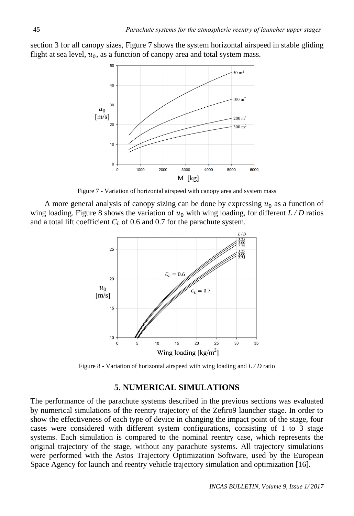section 3 for all canopy sizes, Figure 7 shows the system horizontal airspeed in stable gliding flight at sea level,  $u_0$ , as a function of canopy area and total system mass.



Figure 7 - Variation of horizontal airspeed with canopy area and system mass

A more general analysis of canopy sizing can be done by expressing  $u_0$  as a function of wing loading. Figure 8 shows the variation of  $u_0$  with wing loading, for different  $L/D$  ratios and a total lift coefficient *C<sup>L</sup>* of 0.6 and 0.7 for the parachute system.



Figure 8 - Variation of horizontal airspeed with wing loading and *L / D* ratio

## **5. NUMERICAL SIMULATIONS**

The performance of the parachute systems described in the previous sections was evaluated by numerical simulations of the reentry trajectory of the Zefiro9 launcher stage. In order to show the effectiveness of each type of device in changing the impact point of the stage, four cases were considered with different system configurations, consisting of 1 to 3 stage systems. Each simulation is compared to the nominal reentry case, which represents the original trajectory of the stage, without any parachute systems. All trajectory simulations were performed with the Astos Trajectory Optimization Software, used by the European Space Agency for launch and reentry vehicle trajectory simulation and optimization [16].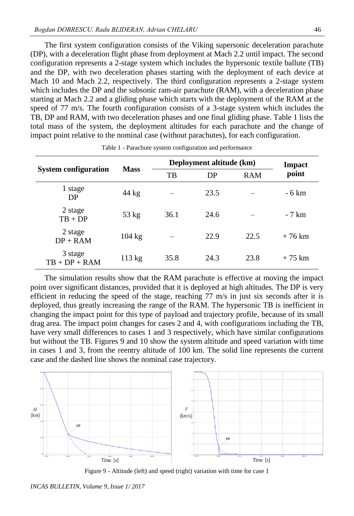The first system configuration consists of the Viking supersonic deceleration parachute (DP), with a deceleration flight phase from deployment at Mach 2.2 until impact. The second configuration represents a 2-stage system which includes the hypersonic textile ballute (TB) and the DP, with two deceleration phases starting with the deployment of each device at Mach 10 and Mach 2.2, respectively. The third configuration represents a 2-stage system which includes the DP and the subsonic ram-air parachute (RAM), with a deceleration phase starting at Mach 2.2 and a gliding phase which starts with the deployment of the RAM at the speed of 77 m/s. The fourth configuration consists of a 3-stage system which includes the TB, DP and RAM, with two deceleration phases and one final gliding phase. Table 1 lists the total mass of the system, the deployment altitudes for each parachute and the change of impact point relative to the nominal case (without parachutes), for each configuration.

| <b>System configuration</b> | <b>Mass</b>      | Deployment altitude (km) |      |            | <b>Impact</b>   |
|-----------------------------|------------------|--------------------------|------|------------|-----------------|
|                             |                  | TB                       | DP   | <b>RAM</b> | point           |
| 1 stage<br>D <sub>P</sub>   | $44 \text{ kg}$  |                          | 23.5 |            | - 6 km          |
| 2 stage<br>$TB + DP$        | $53 \text{ kg}$  | 36.1                     | 24.6 |            | $-7 \text{ km}$ |
| 2 stage<br>$DP + RAM$       | $104 \text{ kg}$ |                          | 22.9 | 22.5       | $+76$ km        |
| 3 stage<br>$TB + DP + RAM$  | $113 \text{ kg}$ | 35.8                     | 24.3 | 23.8       | $+75$ km        |

Table 1 - Parachute system configuration and performance

The simulation results show that the RAM parachute is effective at moving the impact point over significant distances, provided that it is deployed at high altitudes. The DP is very efficient in reducing the speed of the stage, reaching 77 m/s in just six seconds after it is deployed, thus greatly increasing the range of the RAM. The hypersonic TB is inefficient in changing the impact point for this type of payload and trajectory profile, because of its small drag area. The impact point changes for cases 2 and 4, with configurations including the TB, have very small differences to cases 1 and 3 respectively, which have similar configurations but without the TB. Figures 9 and 10 show the system altitude and speed variation with time in cases 1 and 3, from the reentry altitude of 100 km. The solid line represents the current case and the dashed line shows the nominal case trajectory.



Figure 9 - Altitude (left) and speed (right) variation with time for case 1

*INCAS BULLETIN, Volume 9, Issue 1/ 2017*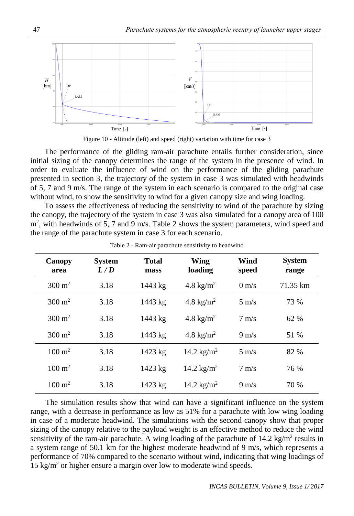



The performance of the gliding ram-air parachute entails further consideration, since initial sizing of the canopy determines the range of the system in the presence of wind. In order to evaluate the influence of wind on the performance of the gliding parachute presented in section 3, the trajectory of the system in case 3 was simulated with headwinds of 5, 7 and 9 m/s. The range of the system in each scenario is compared to the original case without wind, to show the sensitivity to wind for a given canopy size and wing loading.

To assess the effectiveness of reducing the sensitivity to wind of the parachute by sizing the canopy, the trajectory of the system in case 3 was also simulated for a canopy area of 100 m<sup>2</sup>, with headwinds of 5, 7 and 9 m/s. Table 2 shows the system parameters, wind speed and the range of the parachute system in case 3 for each scenario.

| Canopy<br>area    | <b>System</b><br>L/D | <b>Total</b><br>mass | Wing<br>loading      | Wind<br>speed   | <b>System</b><br>range |
|-------------------|----------------------|----------------------|----------------------|-----------------|------------------------|
| $300 \text{ m}^2$ | 3.18                 | 1443 kg              | 4.8 kg/ $m2$         | $0 \text{ m/s}$ | 71.35 km               |
| $300 \text{ m}^2$ | 3.18                 | 1443 kg              | 4.8 kg/ $m^2$        | $5 \text{ m/s}$ | 73 %                   |
| $300 \text{ m}^2$ | 3.18                 | 1443 kg              | 4.8 kg/ $m^2$        | $7 \text{ m/s}$ | 62 %                   |
| $300 \text{ m}^2$ | 3.18                 | 1443 kg              | 4.8 kg/ $m^2$        | $9 \text{ m/s}$ | 51 %                   |
| $100 \text{ m}^2$ | 3.18                 | 1423 kg              | 14.2 $\text{kg/m}^2$ | $5 \text{ m/s}$ | 82 %                   |
| $100 \text{ m}^2$ | 3.18                 | 1423 kg              | 14.2 $\text{kg/m}^2$ | $7 \text{ m/s}$ | 76 %                   |
| $100 \text{ m}^2$ | 3.18                 | $1423$ kg            | 14.2 $\text{kg/m}^2$ | $9 \text{ m/s}$ | 70 %                   |

Table 2 - Ram-air parachute sensitivity to headwind

The simulation results show that wind can have a significant influence on the system range, with a decrease in performance as low as 51% for a parachute with low wing loading in case of a moderate headwind. The simulations with the second canopy show that proper sizing of the canopy relative to the payload weight is an effective method to reduce the wind sensitivity of the ram-air parachute. A wing loading of the parachute of  $14.2 \text{ kg/m}^2$  results in a system range of 50.1 km for the highest moderate headwind of 9 m/s, which represents a performance of 70% compared to the scenario without wind, indicating that wing loadings of  $15 \text{ kg/m}^2$  or higher ensure a margin over low to moderate wind speeds.